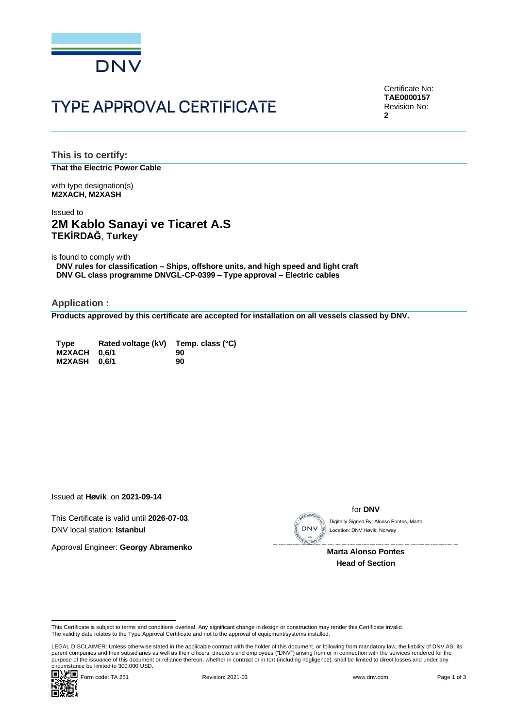

# **TYPE APPROVAL CERTIFICATE**

Certificate No: **TAE0000157** Revision No: **2**

**This is to certify: That the Electric Power Cable**

with type designation(s) **M2XACH, M2XASH**

## Issued to **2M Kablo Sanayi ve Ticaret A.S TEKİRDAĞ**, **Turkey**

is found to comply with

**DNV rules for classification – Ships, offshore units, and high speed and light craft DNV GL class programme DNVGL-CP-0399 – Type approval – Electric cables**

**Application :**

**Products approved by this certificate are accepted for installation on all vessels classed by DNV.**

| <b>Type</b>         | Rated voltage (kV) Temp. class (°C) |    |
|---------------------|-------------------------------------|----|
| <b>M2XACH 0.6/1</b> |                                     | 90 |
| M2XASH 0.6/1        |                                     | 90 |

Issued at **Høvik** on **2021-09-14**

This Certificate is valid until **2026-07-03**. DNV local station: **Istanbul**

Approval Engineer: **Georgy Abramenko**



#### for **DNV**

Location: DNV Høvik, Norway

**Marta Alonso Pontes Head of Section**

LEGAL DISCLAIMER: Unless otherwise stated in the applicable contract with the holder of this document, or following from mandatory law, the liability of DNV AS, its<br>parent companies and their subsidiaries as well as their purpose of the issuance of this document or reliance thereon, whether in contract or in tort (including negligence), shall be limited to direct losses and under any purpose of the issuance of this document or reliance ther Circumstance be limited to 300,000 USD.<br>
Contains and conditions of the state of the state of the state of the state of the state of the state of the state of the state of the state of the state of the state of the state o



This Certificate is subject to terms and conditions overleaf. Any significant change in design or construction may render this Certificate invalid.<br>The validity date relates to the Type Approval Certificate and not to the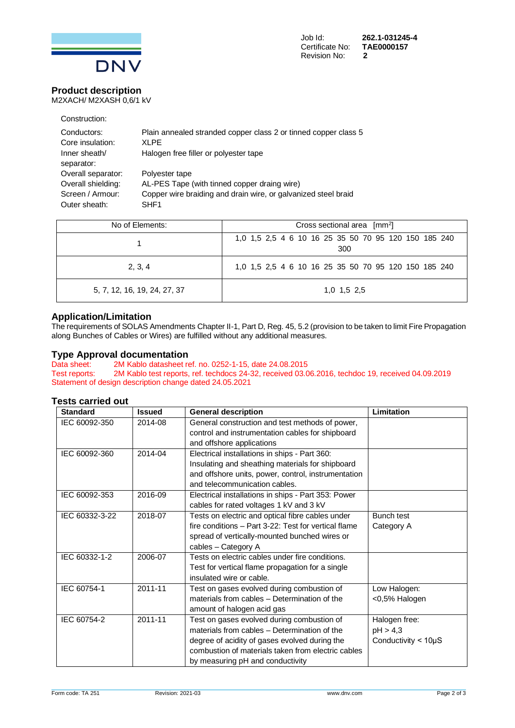

## **Product description**

M2XACH/ M2XASH 0,6/1 kV

| Construction:                                                |                                                                                                                                  |
|--------------------------------------------------------------|----------------------------------------------------------------------------------------------------------------------------------|
| Conductors:<br>Core insulation:                              | Plain annealed stranded copper class 2 or tinned copper class 5<br>XI PE                                                         |
| Inner sheath/<br>separator:                                  | Halogen free filler or polyester tape                                                                                            |
| Overall separator:<br>Overall shielding:<br>Screen / Armour: | Polyester tape<br>AL-PES Tape (with tinned copper draing wire)<br>Copper wire braiding and drain wire, or galvanized steel braid |
| Outer sheath:                                                | SHF <sub>1</sub>                                                                                                                 |

| No of Elements:              | Cross sectional area $\lceil mm^2 \rceil$                   |  |  |
|------------------------------|-------------------------------------------------------------|--|--|
|                              | 1,0 1,5 2,5 4 6 10 16 25 35 50 70 95 120 150 185 240<br>300 |  |  |
| 2, 3, 4                      | 1,0 1,5 2,5 4 6 10 16 25 35 50 70 95 120 150 185 240        |  |  |
| 5, 7, 12, 16, 19, 24, 27, 37 | $1.0$ $1.5$ $2.5$                                           |  |  |

### **Application/Limitation**

The requirements of SOLAS Amendments Chapter II-1, Part D, Reg. 45, 5.2 (provision to be taken to limit Fire Propagation along Bunches of Cables or Wires) are fulfilled without any additional measures.

## **Type Approval documentation**<br>Data sheet: 2M Kablo datasheet re

Data sheet: 2M Kablo datasheet ref. no. 0252-1-15, date 24.08.2015<br>Test reports: 2M Kablo test reports, ref. techdocs 24-32, received 03.0 Test reports: 2M Kablo test reports, ref. techdocs 24-32, received 03.06.2016, techdoc 19, received 04.09.2019 Statement of design description change dated 24.05.2021

#### **Tests carried out**

| <b>Standard</b> | <b>Issued</b> | <b>General description</b>                                                                                                                                                                                                            | Limitation                                               |
|-----------------|---------------|---------------------------------------------------------------------------------------------------------------------------------------------------------------------------------------------------------------------------------------|----------------------------------------------------------|
| IEC 60092-350   | 2014-08       | General construction and test methods of power,<br>control and instrumentation cables for shipboard<br>and offshore applications                                                                                                      |                                                          |
| IEC 60092-360   | 2014-04       | Electrical installations in ships - Part 360:<br>Insulating and sheathing materials for shipboard<br>and offshore units, power, control, instrumentation<br>and telecommunication cables.                                             |                                                          |
| IEC 60092-353   | 2016-09       | Electrical installations in ships - Part 353: Power<br>cables for rated voltages 1 kV and 3 kV                                                                                                                                        |                                                          |
| IEC 60332-3-22  | 2018-07       | Tests on electric and optical fibre cables under<br>fire conditions - Part 3-22: Test for vertical flame<br>spread of vertically-mounted bunched wires or<br>cables - Category A                                                      | <b>Bunch test</b><br>Category A                          |
| IEC 60332-1-2   | 2006-07       | Tests on electric cables under fire conditions.<br>Test for vertical flame propagation for a single<br>insulated wire or cable.                                                                                                       |                                                          |
| IEC 60754-1     | 2011-11       | Test on gases evolved during combustion of<br>materials from cables - Determination of the<br>amount of halogen acid gas                                                                                                              | Low Halogen:<br><0,5% Halogen                            |
| IEC 60754-2     | 2011-11       | Test on gases evolved during combustion of<br>materials from cables - Determination of the<br>degree of acidity of gases evolved during the<br>combustion of materials taken from electric cables<br>by measuring pH and conductivity | Halogen free:<br>pH > 4,3<br>Conductivity $<$ 10 $\mu$ S |